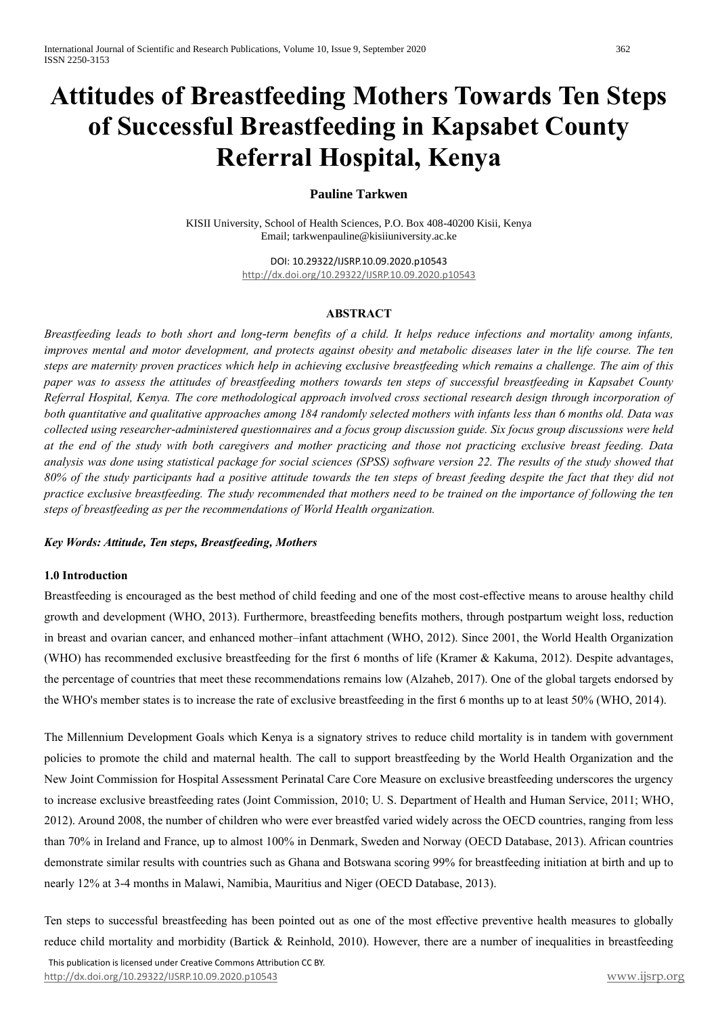# **Attitudes of Breastfeeding Mothers Towards Ten Steps of Successful Breastfeeding in Kapsabet County Referral Hospital, Kenya**

# **Pauline Tarkwen**

KISII University, School of Health Sciences, P.O. Box 408-40200 Kisii, Kenya Email[; tarkwenpauline@kisiiuniversity.ac.ke](mailto:tarkwenpauline@kisiiuniversity.ac.ke)

> DOI: 10.29322/IJSRP.10.09.2020.p10543 <http://dx.doi.org/10.29322/IJSRP.10.09.2020.p10543>

### **ABSTRACT**

*Breastfeeding leads to both short and long-term benefits of a child. It helps reduce infections and mortality among infants, improves mental and motor development, and protects against obesity and metabolic diseases later in the life course. The ten steps are maternity proven practices which help in achieving exclusive breastfeeding which remains a challenge. The aim of this paper was to assess the attitudes of breastfeeding mothers towards ten steps of successful breastfeeding in Kapsabet County Referral Hospital, Kenya. The core methodological approach involved cross sectional research design through incorporation of both quantitative and qualitative approaches among 184 randomly selected mothers with infants less than 6 months old. Data was collected using researcher-administered questionnaires and a focus group discussion guide. Six focus group discussions were held at the end of the study with both caregivers and mother practicing and those not practicing exclusive breast feeding. Data analysis was done using statistical package for social sciences (SPSS) software version 22. The results of the study showed that 80% of the study participants had a positive attitude towards the ten steps of breast feeding despite the fact that they did not practice exclusive breastfeeding. The study recommended that mothers need to be trained on the importance of following the ten steps of breastfeeding as per the recommendations of World Health organization.* 

#### *Key Words: Attitude, Ten steps, Breastfeeding, Mothers*

#### **1.0 Introduction**

Breastfeeding is encouraged as the best method of child feeding and one of the most cost-effective means to arouse healthy child growth and development (WHO, 2013). Furthermore, breastfeeding benefits mothers, through postpartum weight loss, reduction in breast and ovarian cancer, and enhanced mother–infant attachment (WHO, 2012). Since 2001, the World Health Organization (WHO) has recommended exclusive breastfeeding for the first 6 months of life (Kramer & Kakuma, 2012). Despite advantages, the percentage of countries that meet these recommendations remains low (Alzaheb, 2017). One of the global targets endorsed by the WHO's member states is to increase the rate of exclusive breastfeeding in the first 6 months up to at least 50% (WHO, 2014).

The Millennium Development Goals which Kenya is a signatory strives to reduce child mortality is in tandem with government policies to promote the child and maternal health. The call to support breastfeeding by the World Health Organization and the New Joint Commission for Hospital Assessment Perinatal Care Core Measure on exclusive breastfeeding underscores the urgency to increase exclusive breastfeeding rates (Joint Commission, 2010; U. S. Department of Health and Human Service, 2011; WHO, 2012). Around 2008, the number of children who were ever breastfed varied widely across the OECD countries, ranging from less than 70% in Ireland and France, up to almost 100% in Denmark, Sweden and Norway (OECD Database, 2013). African countries demonstrate similar results with countries such as Ghana and Botswana scoring 99% for breastfeeding initiation at birth and up to nearly 12% at 3-4 months in Malawi, Namibia, Mauritius and Niger (OECD Database, 2013).

Ten steps to successful breastfeeding has been pointed out as one of the most effective preventive health measures to globally reduce child mortality and morbidity (Bartick & Reinhold, 2010). However, there are a number of inequalities in breastfeeding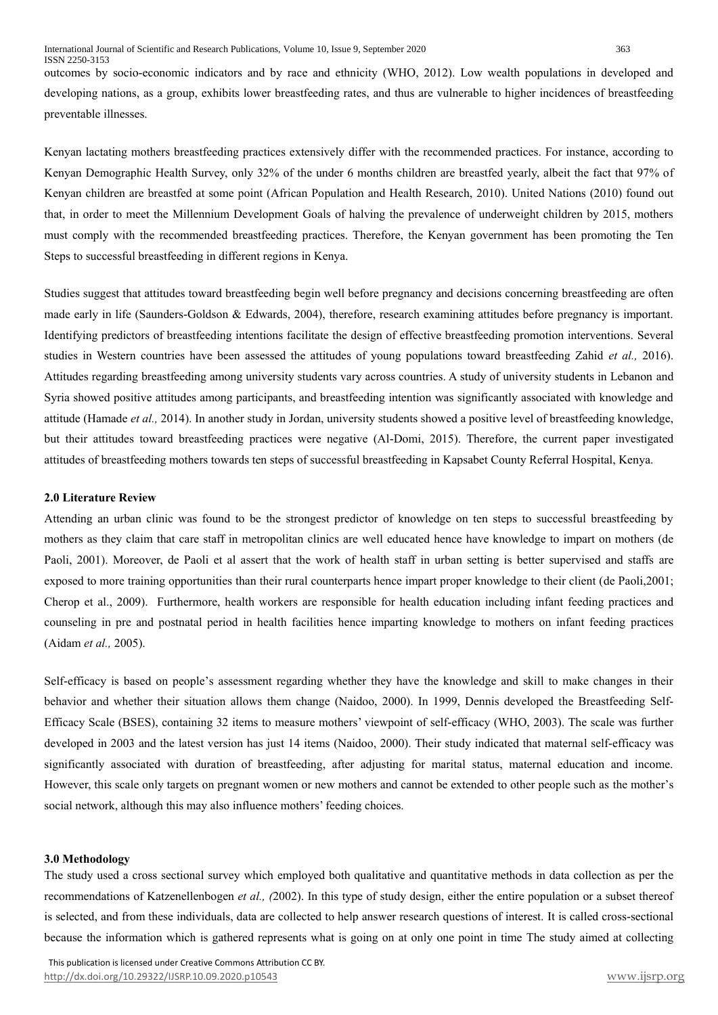outcomes by socio-economic indicators and by race and ethnicity (WHO, 2012). Low wealth populations in developed and developing nations, as a group, exhibits lower breastfeeding rates, and thus are vulnerable to higher incidences of breastfeeding preventable illnesses.

Kenyan lactating mothers breastfeeding practices extensively differ with the recommended practices. For instance, according to Kenyan Demographic Health Survey, only 32% of the under 6 months children are breastfed yearly, albeit the fact that 97% of Kenyan children are breastfed at some point (African Population and Health Research, 2010). United Nations (2010) found out that, in order to meet the Millennium Development Goals of halving the prevalence of underweight children by 2015, mothers must comply with the recommended breastfeeding practices. Therefore, the Kenyan government has been promoting the Ten Steps to successful breastfeeding in different regions in Kenya.

Studies suggest that attitudes toward breastfeeding begin well before pregnancy and decisions concerning breastfeeding are often made early in life (Saunders-Goldson & Edwards, 2004), therefore, research examining attitudes before pregnancy is important. Identifying predictors of breastfeeding intentions facilitate the design of effective breastfeeding promotion interventions. Several studies in Western countries have been assessed the attitudes of young populations toward breastfeeding Zahid *et al.,* 2016). Attitudes regarding breastfeeding among university students vary across countries. A study of university students in Lebanon and Syria showed positive attitudes among participants, and breastfeeding intention was significantly associated with knowledge and attitude (Hamade *et al.,* 2014). In another study in Jordan, university students showed a positive level of breastfeeding knowledge, but their attitudes toward breastfeeding practices were negative (Al-Domi, 2015). Therefore, the current paper investigated attitudes of breastfeeding mothers towards ten steps of successful breastfeeding in Kapsabet County Referral Hospital, Kenya.

#### **2.0 Literature Review**

Attending an urban clinic was found to be the strongest predictor of knowledge on ten steps to successful breastfeeding by mothers as they claim that care staff in metropolitan clinics are well educated hence have knowledge to impart on mothers (de Paoli, 2001). Moreover, de Paoli et al assert that the work of health staff in urban setting is better supervised and staffs are exposed to more training opportunities than their rural counterparts hence impart proper knowledge to their client (de Paoli,2001; Cherop et al., 2009). Furthermore, health workers are responsible for health education including infant feeding practices and counseling in pre and postnatal period in health facilities hence imparting knowledge to mothers on infant feeding practices (Aidam *et al.,* 2005).

Self-efficacy is based on people's assessment regarding whether they have the knowledge and skill to make changes in their behavior and whether their situation allows them change (Naidoo, 2000). In 1999, Dennis developed the Breastfeeding Self-Efficacy Scale (BSES), containing 32 items to measure mothers' viewpoint of self-efficacy (WHO, 2003). The scale was further developed in 2003 and the latest version has just 14 items (Naidoo, 2000). Their study indicated that maternal self-efficacy was significantly associated with duration of breastfeeding, after adjusting for marital status, maternal education and income. However, this scale only targets on pregnant women or new mothers and cannot be extended to other people such as the mother's social network, although this may also influence mothers' feeding choices.

#### **3.0 Methodology**

The study used a cross sectional survey which employed both qualitative and quantitative methods in data collection as per the recommendations of Katzenellenbogen *et al., (*2002). In this type of study design, either the entire population or a subset thereof is selected, and from these individuals, data are collected to help answer research questions of interest. It is called cross-sectional because the information which is gathered represents what is going on at only one point in time The study aimed at collecting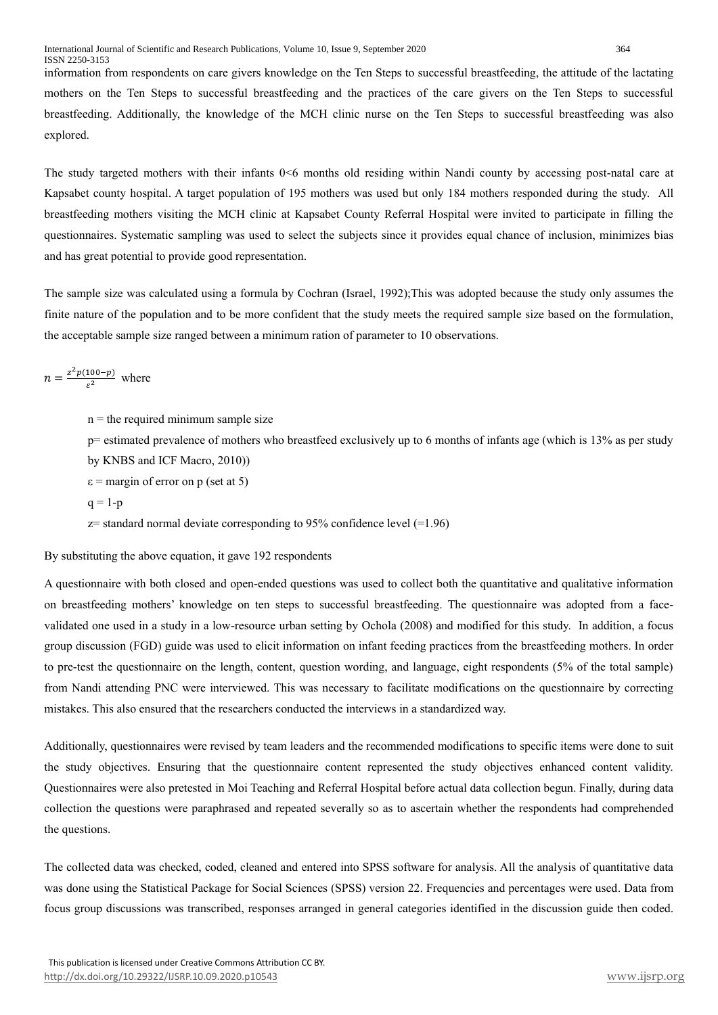information from respondents on care givers knowledge on the Ten Steps to successful breastfeeding, the attitude of the lactating mothers on the Ten Steps to successful breastfeeding and the practices of the care givers on the Ten Steps to successful breastfeeding. Additionally, the knowledge of the MCH clinic nurse on the Ten Steps to successful breastfeeding was also explored.

The study targeted mothers with their infants 0<6 months old residing within Nandi county by accessing post-natal care at Kapsabet county hospital. A target population of 195 mothers was used but only 184 mothers responded during the study. All breastfeeding mothers visiting the MCH clinic at Kapsabet County Referral Hospital were invited to participate in filling the questionnaires. Systematic sampling was used to select the subjects since it provides equal chance of inclusion, minimizes bias and has great potential to provide good representation.

The sample size was calculated using a formula by Cochran (Israel, 1992);This was adopted because the study only assumes the finite nature of the population and to be more confident that the study meets the required sample size based on the formulation, the acceptable sample size ranged between a minimum ration of parameter to 10 observations.

 $n = \frac{z^2 p(100-p)}{a^2}$  $\frac{100-pj}{\varepsilon^2}$  where

 $n =$  the required minimum sample size

p= estimated prevalence of mothers who breastfeed exclusively up to 6 months of infants age (which is 13% as per study by KNBS and ICF Macro, 2010))

- $\varepsilon$  = margin of error on p (set at 5)
- $q = 1-p$

 $z$ = standard normal deviate corresponding to 95% confidence level (=1.96)

#### By substituting the above equation, it gave 192 respondents

A questionnaire with both closed and open-ended questions was used to collect both the quantitative and qualitative information on breastfeeding mothers' knowledge on ten steps to successful breastfeeding. The questionnaire was adopted from a facevalidated one used in a study in a low-resource urban setting by Ochola (2008) and modified for this study. In addition, a focus group discussion (FGD) guide was used to elicit information on infant feeding practices from the breastfeeding mothers. In order to pre-test the questionnaire on the length, content, question wording, and language, eight respondents (5% of the total sample) from Nandi attending PNC were interviewed. This was necessary to facilitate modifications on the questionnaire by correcting mistakes. This also ensured that the researchers conducted the interviews in a standardized way.

Additionally, questionnaires were revised by team leaders and the recommended modifications to specific items were done to suit the study objectives. Ensuring that the questionnaire content represented the study objectives enhanced content validity. Questionnaires were also pretested in Moi Teaching and Referral Hospital before actual data collection begun. Finally, during data collection the questions were paraphrased and repeated severally so as to ascertain whether the respondents had comprehended the questions.

The collected data was checked, coded, cleaned and entered into SPSS software for analysis. All the analysis of quantitative data was done using the Statistical Package for Social Sciences (SPSS) version 22. Frequencies and percentages were used. Data from focus group discussions was transcribed, responses arranged in general categories identified in the discussion guide then coded.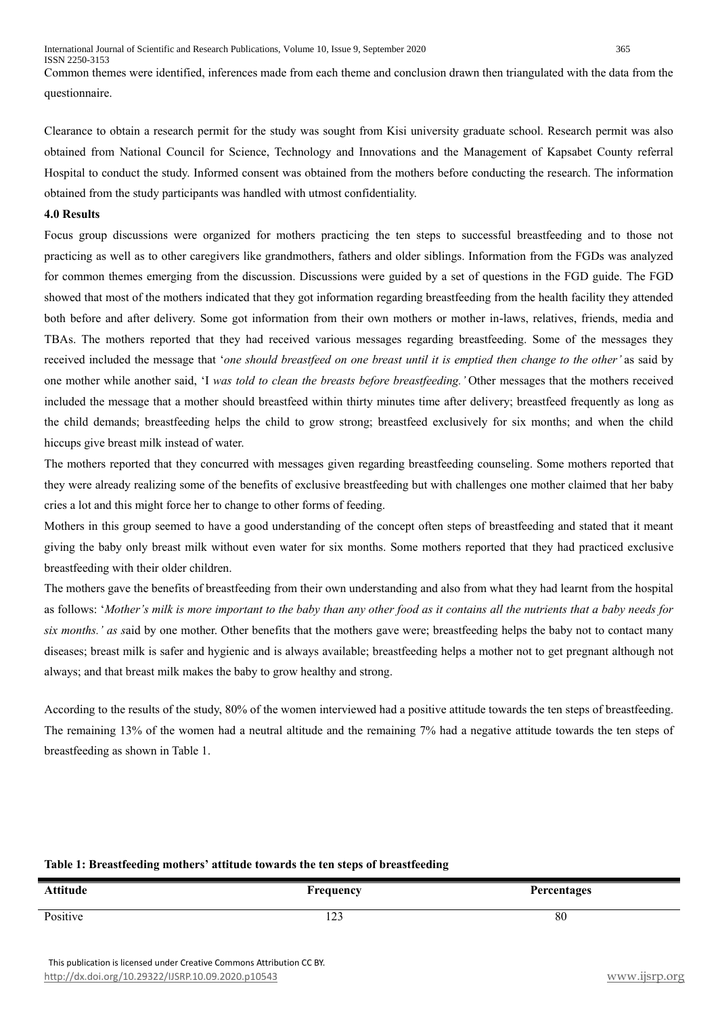Common themes were identified, inferences made from each theme and conclusion drawn then triangulated with the data from the questionnaire.

Clearance to obtain a research permit for the study was sought from Kisi university graduate school. Research permit was also obtained from National Council for Science, Technology and Innovations and the Management of Kapsabet County referral Hospital to conduct the study. Informed consent was obtained from the mothers before conducting the research. The information obtained from the study participants was handled with utmost confidentiality.

#### **4.0 Results**

Focus group discussions were organized for mothers practicing the ten steps to successful breastfeeding and to those not practicing as well as to other caregivers like grandmothers, fathers and older siblings. Information from the FGDs was analyzed for common themes emerging from the discussion. Discussions were guided by a set of questions in the FGD guide. The FGD showed that most of the mothers indicated that they got information regarding breastfeeding from the health facility they attended both before and after delivery. Some got information from their own mothers or mother in-laws, relatives, friends, media and TBAs. The mothers reported that they had received various messages regarding breastfeeding. Some of the messages they received included the message that '*one should breastfeed on one breast until it is emptied then change to the other'* as said by one mother while another said, 'I *was told to clean the breasts before breastfeeding.'* Other messages that the mothers received included the message that a mother should breastfeed within thirty minutes time after delivery; breastfeed frequently as long as the child demands; breastfeeding helps the child to grow strong; breastfeed exclusively for six months; and when the child hiccups give breast milk instead of water.

The mothers reported that they concurred with messages given regarding breastfeeding counseling. Some mothers reported that they were already realizing some of the benefits of exclusive breastfeeding but with challenges one mother claimed that her baby cries a lot and this might force her to change to other forms of feeding.

Mothers in this group seemed to have a good understanding of the concept often steps of breastfeeding and stated that it meant giving the baby only breast milk without even water for six months. Some mothers reported that they had practiced exclusive breastfeeding with their older children.

The mothers gave the benefits of breastfeeding from their own understanding and also from what they had learnt from the hospital as follows: '*Mother's milk is more important to the baby than any other food as it contains all the nutrients that a baby needs for six months.' as s*aid by one mother. Other benefits that the mothers gave were; breastfeeding helps the baby not to contact many diseases; breast milk is safer and hygienic and is always available; breastfeeding helps a mother not to get pregnant although not always; and that breast milk makes the baby to grow healthy and strong.

According to the results of the study, 80% of the women interviewed had a positive attitude towards the ten steps of breastfeeding. The remaining 13% of the women had a neutral altitude and the remaining 7% had a negative attitude towards the ten steps of breastfeeding as shown in Table 1.

# **Table 1: Breastfeeding mothers' attitude towards the ten steps of breastfeeding**

| <b>Attitude</b> | rrequency     | Percentages |
|-----------------|---------------|-------------|
| Positive        | $\sim$<br>149 | 80          |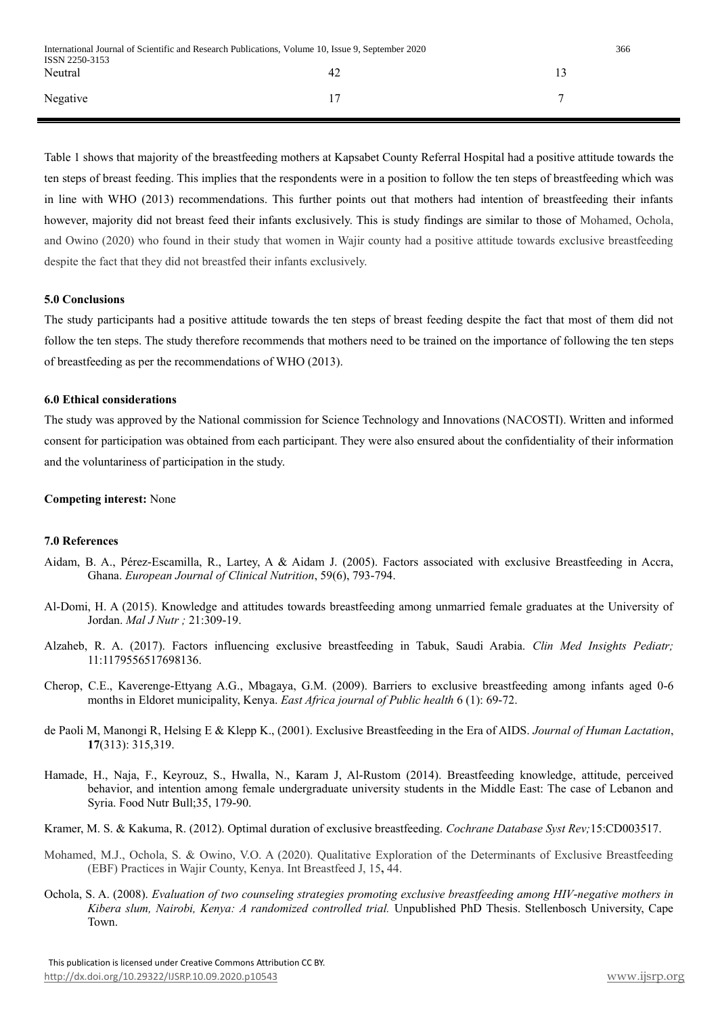Table 1 shows that majority of the breastfeeding mothers at Kapsabet County Referral Hospital had a positive attitude towards the ten steps of breast feeding. This implies that the respondents were in a position to follow the ten steps of breastfeeding which was in line with WHO (2013) recommendations. This further points out that mothers had intention of breastfeeding their infants however, majority did not breast feed their infants exclusively. This is study findings are similar to those of Mohamed, Ochola, and Owino (2020) who found in their study that women in Wajir county had a positive attitude towards exclusive breastfeeding despite the fact that they did not breastfed their infants exclusively.

#### **5.0 Conclusions**

The study participants had a positive attitude towards the ten steps of breast feeding despite the fact that most of them did not follow the ten steps. The study therefore recommends that mothers need to be trained on the importance of following the ten steps of breastfeeding as per the recommendations of WHO (2013).

#### **6.0 Ethical considerations**

The study was approved by the National commission for Science Technology and Innovations (NACOSTI). Written and informed consent for participation was obtained from each participant. They were also ensured about the confidentiality of their information and the voluntariness of participation in the study.

## **Competing interest:** None

#### **7.0 References**

- Aidam, B. A., Pérez-Escamilla, R., Lartey, A & Aidam J. (2005). Factors associated with exclusive Breastfeeding in Accra, Ghana. *European Journal of Clinical Nutrition*, 59(6), 793-794.
- Al-Domi, H. A (2015). Knowledge and attitudes towards breastfeeding among unmarried female graduates at the University of Jordan. *Mal J Nutr ;* 21:309-19.
- Alzaheb, R. A. (2017). Factors influencing exclusive breastfeeding in Tabuk, Saudi Arabia. *Clin Med Insights Pediatr;* 11:1179556517698136.
- Cherop, C.E., Kaverenge-Ettyang A.G., Mbagaya, G.M. (2009). Barriers to exclusive breastfeeding among infants aged 0-6 months in Eldoret municipality, Kenya. *East Africa journal of Public health* 6 (1): 69-72.
- de Paoli M, Manongi R, Helsing E & Klepp K., (2001). Exclusive Breastfeeding in the Era of AIDS. *Journal of Human Lactation*, **17**(313): 315,319.
- Hamade, H., Naja, F., Keyrouz, S., Hwalla, N., Karam J, Al-Rustom (2014). Breastfeeding knowledge, attitude, perceived behavior, and intention among female undergraduate university students in the Middle East: The case of Lebanon and Syria. Food Nutr Bull;35, 179-90.
- Kramer, M. S. & Kakuma, R. (2012). Optimal duration of exclusive breastfeeding. *Cochrane Database Syst Rev;*15:CD003517.
- Mohamed, M.J., Ochola, S. & Owino, V.O. A (2020). Qualitative Exploration of the Determinants of Exclusive Breastfeeding (EBF) Practices in Wajir County, Kenya. Int Breastfeed J, 15**,** 44.
- Ochola, S. A. (2008). *Evaluation of two counseling strategies promoting exclusive breastfeeding among HIV-negative mothers in Kibera slum, Nairobi, Kenya: A randomized controlled trial.* Unpublished PhD Thesis. Stellenbosch University, Cape Town.